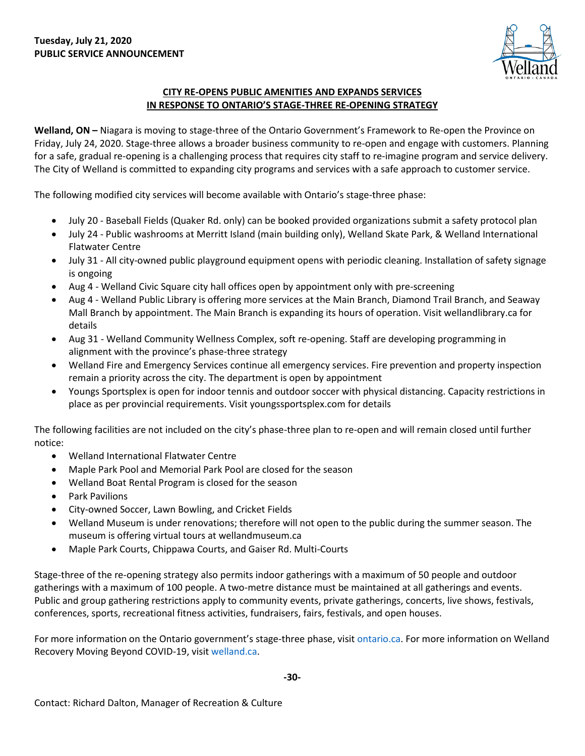

## **CITY RE-OPENS PUBLIC AMENITIES AND EXPANDS SERVICES IN RESPONSE TO ONTARIO'S STAGE-THREE RE-OPENING STRATEGY**

**Welland, ON –** Niagara is moving to stage-three of the Ontario Government's Framework to Re-open the Province on Friday, July 24, 2020. Stage-three allows a broader business community to re-open and engage with customers. Planning for a safe, gradual re-opening is a challenging process that requires city staff to re-imagine program and service delivery. The City of Welland is committed to expanding city programs and services with a safe approach to customer service.

The following modified city services will become available with Ontario's stage-three phase:

- July 20 Baseball Fields (Quaker Rd. only) can be booked provided organizations submit a safety protocol plan
- July 24 Public washrooms at Merritt Island (main building only), Welland Skate Park, & Welland International Flatwater Centre
- July 31 All city-owned public playground equipment opens with periodic cleaning. Installation of safety signage is ongoing
- Aug 4 Welland Civic Square city hall offices open by appointment only with pre-screening
- Aug 4 Welland Public Library is offering more services at the Main Branch, Diamond Trail Branch, and Seaway Mall Branch by appointment. The Main Branch is expanding its hours of operation. Visit wellandlibrary.ca for details
- Aug 31 Welland Community Wellness Complex, soft re-opening. Staff are developing programming in alignment with the province's phase-three strategy
- Welland Fire and Emergency Services continue all emergency services. Fire prevention and property inspection remain a priority across the city. The department is open by appointment
- Youngs Sportsplex is open for indoor tennis and outdoor soccer with physical distancing. Capacity restrictions in place as per provincial requirements. Visit youngssportsplex.com for details

The following facilities are not included on the city's phase-three plan to re-open and will remain closed until further notice:

- Welland International Flatwater Centre
- Maple Park Pool and Memorial Park Pool are closed for the season
- Welland Boat Rental Program is closed for the season
- Park Pavilions
- City-owned Soccer, Lawn Bowling, and Cricket Fields
- Welland Museum is under renovations; therefore will not open to the public during the summer season. The museum is offering virtual tours at wellandmuseum.ca
- Maple Park Courts, Chippawa Courts, and Gaiser Rd. Multi-Courts

Stage-three of the re-opening strategy also permits indoor gatherings with a maximum of 50 people and outdoor gatherings with a maximum of 100 people. A two-metre distance must be maintained at all gatherings and events. Public and group gathering restrictions apply to community events, private gatherings, concerts, live shows, festivals, conferences, sports, recreational fitness activities, fundraisers, fairs, festivals, and open houses.

For more information on the Ontario government's stage-three phase, visit [ontario.ca.](https://www.ontario.ca/page/framework-reopening-our-province-stage-3) For more information on Welland Recovery Moving Beyond COVID-19, visit [welland.ca.](http://www.welland.ca/)